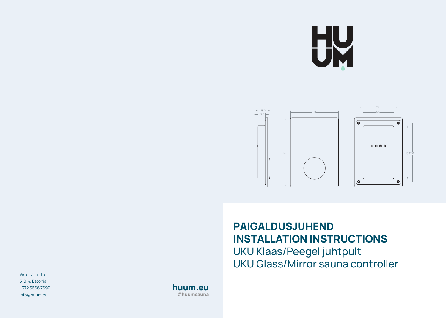



## **PAIGALDUSJUHEND INSTALLATION INSTRUCTIONS**

UKU Klaas/Peegel juhtpult UKU Glass/Mirror sauna controller

Vinkli 2, Tartu 51014, Estonia +372 5666 7699 info@huum.eu